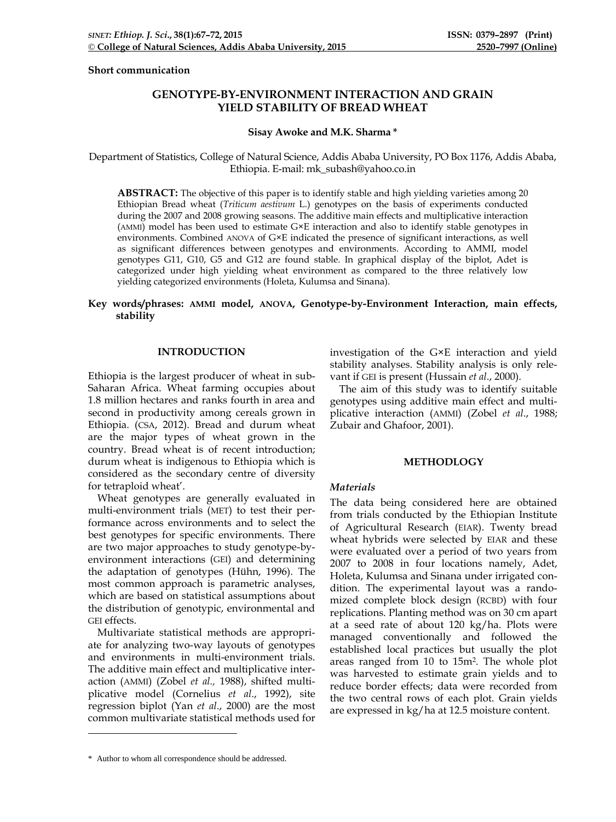### **Short communication**

# **GENOTYPE-BY-ENVIRONMENT INTERACTION AND GRAIN YIELD STABILITY OF BREAD WHEAT**

## **Sisay Awoke and M.K. Sharma [\\*](#page-0-0)**

Department of Statistics, College of Natural Science, Addis Ababa University, PO Box 1176, Addis Ababa, Ethiopia. E-mail: mk\_subash@yahoo.co.in

**ABSTRACT:** The objective of this paper is to identify stable and high yielding varieties among 20 Ethiopian Bread wheat (*Triticum aestivum* L.) genotypes on the basis of experiments conducted during the 2007 and 2008 growing seasons. The additive main effects and multiplicative interaction (AMMI) model has been used to estimate G×E interaction and also to identify stable genotypes in environments. Combined ANOVA of G×E indicated the presence of significant interactions, as well as significant differences between genotypes and environments. According to AMMI, model genotypes G11, G10, G5 and G12 are found stable. In graphical display of the biplot, Adet is categorized under high yielding wheat environment as compared to the three relatively low yielding categorized environments (Holeta, Kulumsa and Sinana).

## **Key words/phrases: AMMI model, ANOVA, Genotype-by-Environment Interaction, main effects, stability**

## **INTRODUCTION**

Ethiopia is the largest producer of wheat in sub-Saharan Africa. Wheat farming occupies about 1.8 million hectares and ranks fourth in area and second in productivity among cereals grown in Ethiopia. (CSA, 2012). Bread and durum wheat are the major types of wheat grown in the country. Bread wheat is of recent introduction; durum wheat is indigenous to Ethiopia which is considered as the secondary centre of diversity for tetraploid wheat'.

Wheat genotypes are generally evaluated in multi-environment trials (MET) to test their performance across environments and to select the best genotypes for specific environments. There are two major approaches to study genotype-byenvironment interactions (GEI) and determining the adaptation of genotypes (Hühn, 1996). The most common approach is parametric analyses, which are based on statistical assumptions about the distribution of genotypic, environmental and GEI effects.

Multivariate statistical methods are appropriate for analyzing two-way layouts of genotypes and environments in multi-environment trials. The additive main effect and multiplicative interaction (AMMI) (Zobel *et al.,* 1988), shifted multiplicative model (Cornelius *et al*., 1992), site regression biplot (Yan *et al*., 2000) are the most common multivariate statistical methods used for investigation of the G×E interaction and yield stability analyses. Stability analysis is only relevant if GEI is present (Hussain *et al*., 2000).

The aim of this study was to identify suitable genotypes using additive main effect and multiplicative interaction (AMMI) (Zobel *et al*., 1988; Zubair and Ghafoor, 2001).

## **METHODLOGY**

### *Materials*

The data being considered here are obtained from trials conducted by the Ethiopian Institute of Agricultural Research (EIAR). Twenty bread wheat hybrids were selected by EIAR and these were evaluated over a period of two years from 2007 to 2008 in four locations namely, Adet, Holeta, Kulumsa and Sinana under irrigated condition. The experimental layout was a randomized complete block design (RCBD) with four replications. Planting method was on 30 cm apart at a seed rate of about 120 kg/ha. Plots were managed conventionally and followed the established local practices but usually the plot areas ranged from 10 to 15m2. The whole plot was harvested to estimate grain yields and to reduce border effects; data were recorded from the two central rows of each plot. Grain yields are expressed in kg/ha at 12.5 moisture content.

-

<span id="page-0-0"></span><sup>\*</sup> Author to whom all correspondence should be addressed.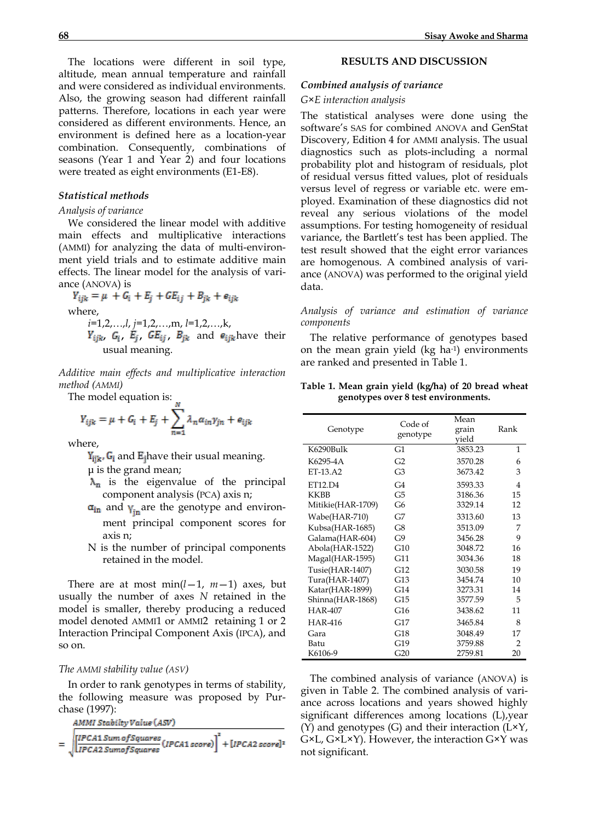The locations were different in soil type, altitude, mean annual temperature and rainfall and were considered as individual environments. Also, the growing season had different rainfall patterns. Therefore, locations in each year were considered as different environments. Hence, an environment is defined here as a location-year combination. Consequently, combinations of seasons (Year 1 and Year 2) and four locations were treated as eight environments (E1-E8).

## *Statistical methods*

## *Analysis of variance*

We considered the linear model with additive main effects and multiplicative interactions (AMMI) for analyzing the data of multi-environment yield trials and to estimate additive main effects. The linear model for the analysis of variance (ANOVA) is

 $Y_{ijk} = \mu + G_i + E_j + G E_{ij} + B_{jk} + e_{ijk}$ where, *i*=1,2,…,*l*, *j*=1,2,…,m, *l*=1,2,…,k,  $Y_{ijk}$ ,  $G_i$ ,  $E_j$ ,  $GE_{ij}$ ,  $B_{ik}$  and  $e_{ijk}$  have their usual meaning.

*Additive main effects and multiplicative interaction method (AMMI)*

The model equation is:

$$
Y_{ijk} = \mu + G_i + E_j + \sum_{n=1}^{\infty} \lambda_n \alpha_{in} y_{jn} + e_{ijk}
$$

where,

 $Y_{\text{ijk}}$ ,  $G_i$  and  $E_i$  have their usual meaning.

μ is the grand mean;

- $\lambda_n$  is the eigenvalue of the principal component analysis (PCA) axis n;
- $\sigma_{\text{in}}$  and  $\gamma_{\text{in}}$  are the genotype and environment principal component scores for
- axis n;
- N is the number of principal components retained in the model.

There are at most  $min(l-1, m-1)$  axes, but usually the number of axes *N* retained in the model is smaller, thereby producing a reduced model denoted AMMI1 or AMMI2 retaining 1 or 2 Interaction Principal Component Axis (IPCA), and so on.

#### *The AMMI stability value (ASV)*

In order to rank genotypes in terms of stability, the following measure was proposed by Purchase (1997):

AMMI Stabilty Value (ASV)

$$
=\sqrt{\left[\frac{IPCA1\,Sum\,of Squares}{IPCA2\,Sumof Squares}\,(IPCA1\,score)\right]^2+\left[IPCA2\,score\right]^2}
$$

#### **RESULTS AND DISCUSSION**

#### *Combined analysis of variance*

## *G×E interaction analysis*

The statistical analyses were done using the software's SAS for combined ANOVA and GenStat Discovery, Edition 4 for AMMI analysis. The usual diagnostics such as plots-including a normal probability plot and histogram of residuals, plot of residual versus fitted values, plot of residuals versus level of regress or variable etc. were employed. Examination of these diagnostics did not reveal any serious violations of the model assumptions. For testing homogeneity of residual variance, the Bartlett's test has been applied. The test result showed that the eight error variances are homogenous. A combined analysis of variance (ANOVA) was performed to the original yield data.

*Analysis of variance and estimation of variance components*

The relative performance of genotypes based on the mean grain yield (kg ha-1) environments are ranked and presented in Table 1.

**Table 1. Mean grain yield (kg/ha) of 20 bread wheat genotypes over 8 test environments.**

| Genotype          | Code of<br>genotype | Mean<br>grain<br>vield | Rank           |
|-------------------|---------------------|------------------------|----------------|
| K6290Bulk         | G1                  | 3853.23                | 1              |
| K6295-4A          | G2                  | 3570.28                | 6              |
| ET-13.A2          | G3                  | 3673.42                | 3              |
| ET12.D4           | G4                  | 3593.33                | 4              |
| <b>KKBB</b>       | G5                  | 3186.36                | 15             |
| Mitikie(HAR-1709) | G6                  | 3329.14                | 12             |
| Wabe(HAR-710)     | G7                  | 3313.60                | 13             |
| Kubsa(HAR-1685)   | G8                  | 3513.09                | 7              |
| Galama(HAR-604)   | G9                  | 3456.28                | 9              |
| Abola(HAR-1522)   | G10                 | 3048.72                | 16             |
| Magal(HAR-1595)   | G11                 | 3034.36                | 18             |
| Tusie(HAR-1407)   | G12                 | 3030.58                | 19             |
| Tura(HAR-1407)    | G13                 | 3454.74                | 10             |
| Katar(HAR-1899)   | G14                 | 3273.31                | 14             |
| Shinna(HAR-1868)  | G15                 | 3577.59                | 5              |
| <b>HAR-407</b>    | G16                 | 3438.62                | 11             |
| <b>HAR-416</b>    | G17                 | 3465.84                | 8              |
| Gara              | G18                 | 3048.49                | 17             |
| Batu              | G19                 | 3759.88                | $\overline{2}$ |
| K6106-9           | G20                 | 2759.81                | 20             |

The combined analysis of variance (ANOVA) is given in Table 2. The combined analysis of variance across locations and years showed highly significant differences among locations (L),year (Y) and genotypes (G) and their interaction  $(L \times Y,$ G×L, G×L×Y). However, the interaction G×Y was not significant.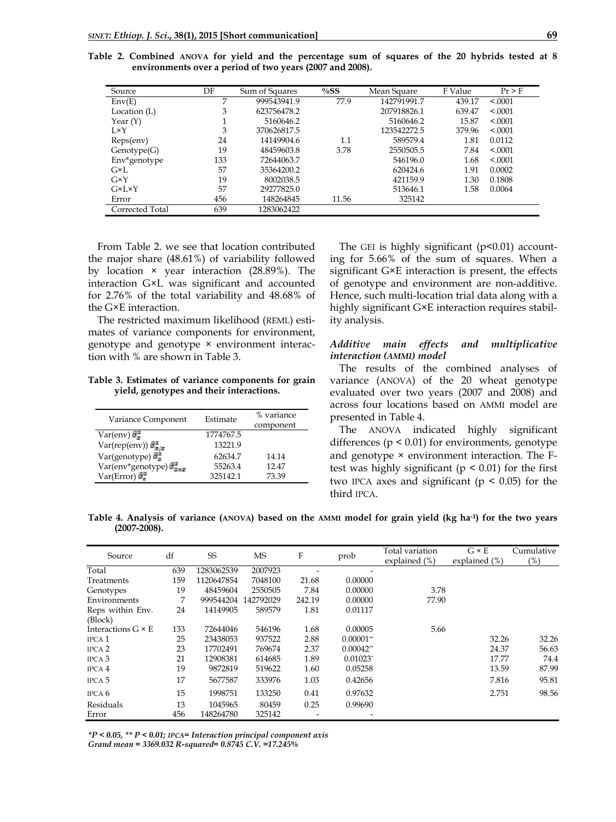| Source              | DF  | Sum of Squares | $\%SS$ | Mean Square | F Value | $Pr$ > F |
|---------------------|-----|----------------|--------|-------------|---------|----------|
| Env(E)              | 7   | 999543941.9    | 77.9   | 142791991.7 | 439.17  | < 0001   |
| Location (L)        | 3   | 623756478.2    |        | 207918826.1 | 639.47  | < 0.001  |
| Year $(Y)$          |     | 5160646.2      |        | 5160646.2   | 15.87   | < 0001   |
| $I \times Y$        | 3   | 370626817.5    |        | 123542272.5 | 379.96  | < 0.001  |
| Reps(env)           | 24  | 14149904.6     | 1.1    | 589579.4    | 1.81    | 0.0112   |
| Genotype(G)         | 19  | 48459603.8     | 3.78   | 2550505.5   | 7.84    | < 0001   |
| Env*genotype        | 133 | 72644063.7     |        | 546196.0    | 1.68    | < 0001   |
| $G\times L$         | 57  | 35364200.2     |        | 620424.6    | 1.91    | 0.0002   |
| GXY                 | 19  | 8002038.5      |        | 421159.9    | 1.30    | 0.1808   |
| $G\times L\times Y$ | 57  | 29277825.0     |        | 513646.1    | 1.58    | 0.0064   |
| Error               | 456 | 148264845      | 11.56  | 325142      |         |          |
| Corrected Total     | 639 | 1283062422     |        |             |         |          |

**Table 2. Combined ANOVA for yield and the percentage sum of squares of the 20 hybrids tested at 8 environments over a period of two years (2007 and 2008).**

From Table 2. we see that location contributed the major share (48.61%) of variability followed by location × year interaction (28.89%). The interaction G×L was significant and accounted for 2.76% of the total variability and 48.68% of the G×E interaction.

The restricted maximum likelihood (REML) estimates of variance components for environment, genotype and genotype × environment interaction with % are shown in Table 3.

**Table 3. Estimates of variance components for grain yield, genotypes and their interactions.**

| Variance Component                                | Estimate  | % variance<br>component |
|---------------------------------------------------|-----------|-------------------------|
| $Var(\text{env})$                                 | 1774767.5 |                         |
| $Var(rep(\text{env}))\hat{\sigma}^2_{\text{R/F}}$ | 13221.9   |                         |
| Var(genotype) $\frac{2\pi}{\sigma_{\rm E}}$       | 62634.7   | 14.14                   |
| Var(env*genotype) $\hat{\sigma}^2_{\text{SME}}$   | 55263.4   | 1247                    |
| $Var(Error)$ $\hat{\sigma}_{\pi}^2$               | 325142.1  | 73.39                   |
|                                                   |           |                         |

The GEI is highly significant  $(p<0.01)$  accounting for 5.66% of the sum of squares. When a significant G×E interaction is present, the effects of genotype and environment are non-additive. Hence, such multi-location trial data along with a highly significant G×E interaction requires stability analysis.

## *Additive main effects and multiplicative interaction (AMMI) model*

The results of the combined analyses of variance (ANOVA) of the 20 wheat genotype evaluated over two years (2007 and 2008) and across four locations based on AMMI model are presented in Table 4.

The ANOVA indicated highly significant differences  $(p < 0.01)$  for environments, genotype and genotype × environment interaction. The Ftest was highly significant ( $p \leq 0.01$ ) for the first two IPCA axes and significant ( $p \leq 0.05$ ) for the third IPCA.

**Table 4. Analysis of variance (ANOVA) based on the AMMI model for grain yield (kg ha-1) for the two years (2007-2008).**

| Source                      | df  | SS         | MS        | F      | prob         | Total variation<br>explained (%) | $G \times E$<br>explained $(\%)$ | Cumulative<br>(%) |
|-----------------------------|-----|------------|-----------|--------|--------------|----------------------------------|----------------------------------|-------------------|
| Total                       | 639 | 1283062539 | 2007923   |        |              |                                  |                                  |                   |
| Treatments                  | 159 | 1120647854 | 7048100   | 21.68  | 0.00000      |                                  |                                  |                   |
| Genotypes                   | 19  | 48459604   | 2550505   | 7.84   | 0.00000      | 3.78                             |                                  |                   |
| Environments                | 7   | 999544204  | 142792029 | 242.19 | 0.00000      | 77.90                            |                                  |                   |
| Reps within Env.<br>(Block) | 24  | 14149905   | 589579    | 1.81   | 0.01117      |                                  |                                  |                   |
| Interactions $G \times E$   | 133 | 72644046   | 546196    | 1.68   | 0.00005      | 5.66                             |                                  |                   |
| IPCA <sub>1</sub>           | 25  | 23438053   | 937522    | 2.88   | $0.00001$ ** |                                  | 32.26                            | 32.26             |
| IPCA <sub>2</sub>           | 23  | 17702491   | 769674    | 2.37   | $0.00042**$  |                                  | 24.37                            | 56.63             |
| IPCA <sub>3</sub>           | 21  | 12908381   | 614685    | 1.89   | $0.01023*$   |                                  | 17.77                            | 74.4              |
| IPCA 4                      | 19  | 9872819    | 519622    | 1.60   | 0.05258      |                                  | 13.59                            | 87.99             |
| IPCA <sub>5</sub>           | 17  | 5677587    | 333976    | 1.03   | 0.42656      |                                  | 7.816                            | 95.81             |
| IPCA 6                      | 15  | 1998751    | 133250    | 0.41   | 0.97632      |                                  | 2.751                            | 98.56             |
| Residuals                   | 13  | 1045965    | 80459     | 0.25   | 0.99690      |                                  |                                  |                   |
| Error                       | 456 | 148264780  | 325142    |        |              |                                  |                                  |                   |

*\*P < 0.05, \*\* P < 0.01; IPCA= Interaction principal component axis Grand mean = 3369.032 R-squared= 0.8745 C.V. =17.245%*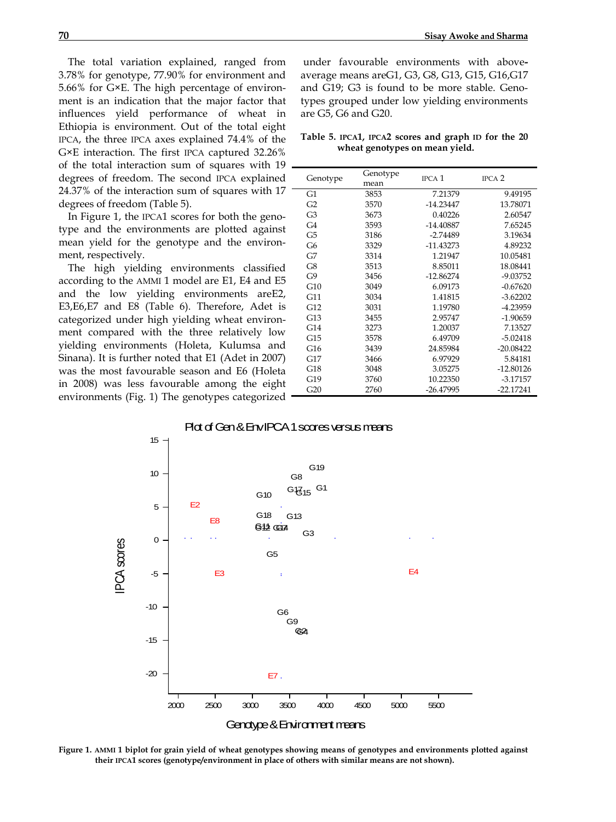The total variation explained, ranged from 3.78% for genotype, 77.90% for environment and 5.66% for G×E. The high percentage of environment is an indication that the major factor that influences yield performance of wheat in Ethiopia is environment. Out of the total eight IPCA, the three IPCA axes explained 74.4% of the G×E interaction. The first IPCA captured 32.26% of the total interaction sum of squares with 19 degrees of freedom. The second IPCA explained 24.37% of the interaction sum of squares with 17 degrees of freedom (Table 5).

In Figure 1, the IPCA1 scores for both the genotype and the environments are plotted against mean yield for the genotype and the environment, respectively.

The high yielding environments classified according to the AMMI 1 model are E1, E4 and E5 and the low yielding environments areE2, E3,E6,E7 and E8 (Table 6). Therefore, Adet is categorized under high yielding wheat environment compared with the three relatively low yielding environments (Holeta, Kulumsa and Sinana). It is further noted that E1 (Adet in 2007) was the most favourable season and E6 (Holeta in 2008) was less favourable among the eight environments (Fig. 1) The genotypes categorized

under favourable environments with aboveaverage means areG1, G3, G8, G13, G15, G16,G17 and G19; G3 is found to be more stable. Genotypes grouped under low yielding environments are G5, G6 and G20.

|  |  | Table 5. IPCA1, IPCA2 scores and graph ID for the 20 |  |  |  |
|--|--|------------------------------------------------------|--|--|--|
|  |  | wheat genotypes on mean yield.                       |  |  |  |

| Genotype       | Genotype<br>mean | IPCA <sub>1</sub> | IPCA <sub>2</sub> |
|----------------|------------------|-------------------|-------------------|
| G <sub>1</sub> | 3853             | 7.21379           | 9.49195           |
| G <sub>2</sub> | 3570             | $-14.23447$       | 13.78071          |
| G <sub>3</sub> | 3673             | 0.40226           | 2.60547           |
| G <sub>4</sub> | 3593             | $-14.40887$       | 7.65245           |
| G5             | 3186             | -2.74489          | 3.19634           |
| G <sub>6</sub> | 3329             | $-11.43273$       | 4.89232           |
| G7             | 3314             | 1.21947           | 10.05481          |
| G8             | 3513             | 8.85011           | 18.08441          |
| G9             | 3456             | $-12.86274$       | $-9.03752$        |
| G10            | 3049             | 6.09173           | $-0.67620$        |
| G11            | 3034             | 1.41815           | $-3.62202$        |
| G12            | 3031             | 1.19780           | -4.23959          |
| G13            | 3455             | 2.95747           | $-1.90659$        |
| G14            | 3273             | 1.20037           | 7.13527           |
| G15            | 3578             | 6.49709           | $-5.02418$        |
| G16            | 3439             | 24.85984          | $-20.08422$       |
| G17            | 3466             | 6.97929           | 5.84181           |
| G18            | 3048             | 3.05275           | $-12.80126$       |
| G19            | 3760             | 10.22350          | $-3.17157$        |
| G20            | 2760             | $-26.47995$       | $-22.17241$       |



Genotype & Environment means

**Figure 1. AMMI 1 biplot for grain yield of wheat genotypes showing means of genotypes and environments plotted against their IPCA1 scores (genotype/environment in place of others with similar means are not shown).**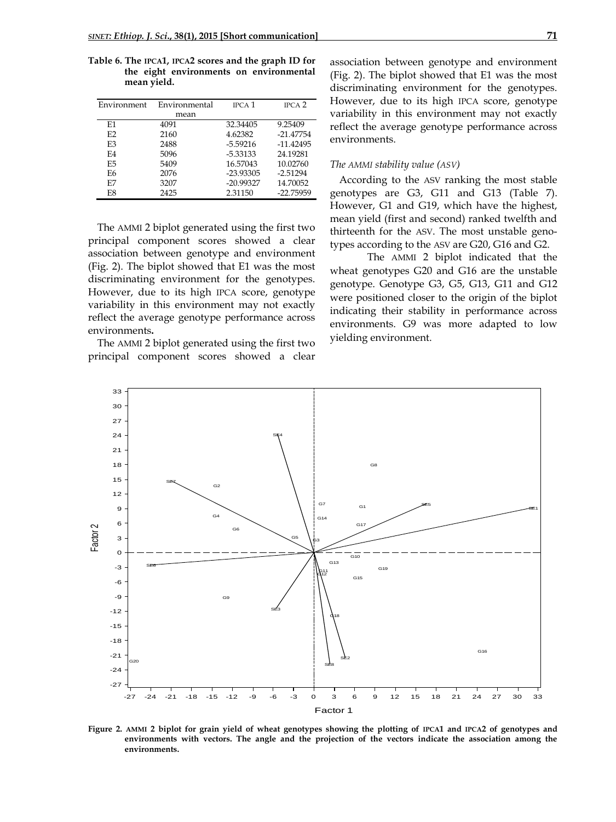| Environment    | Environmental | <b>IPCA</b> 1 | IPCA <sub>2</sub> |
|----------------|---------------|---------------|-------------------|
|                | mean          |               |                   |
| E1             | 4091          | 32.34405      | 9.25409           |
| E2             | 2160          | 4.62382       | $-21.47754$       |
| E <sub>3</sub> | 2488          | $-5.59216$    | $-11.42495$       |
| F4             | 5096          | -5.33133      | 24.19281          |
| F.5            | 5409          | 16.57043      | 10.02760          |
| F6             | 2076          | $-23.93305$   | $-2.51294$        |
| E7             | 3207          | $-20.99327$   | 14.70052          |
| E8             | 2425          | 2.31150       | -22.75959         |

**Table 6. The IPCA1, IPCA2 scores and the graph ID for the eight environments on environmental mean yield.**

The AMMI 2 biplot generated using the first two principal component scores showed a clear association between genotype and environment (Fig. 2). The biplot showed that E1 was the most discriminating environment for the genotypes. However, due to its high IPCA score, genotype variability in this environment may not exactly reflect the average genotype performance across environments**.**

The AMMI 2 biplot generated using the first two principal component scores showed a clear

association between genotype and environment (Fig. 2). The biplot showed that E1 was the most discriminating environment for the genotypes. However, due to its high IPCA score, genotype variability in this environment may not exactly reflect the average genotype performance across environments.

#### *The AMMI stability value (ASV)*

According to the ASV ranking the most stable genotypes are G3, G11 and G13 (Table 7). However, G1 and G19, which have the highest, mean yield (first and second) ranked twelfth and thirteenth for the ASV. The most unstable genotypes according to the ASV are G20, G16 and G2.

The AMMI 2 biplot indicated that the wheat genotypes G20 and G16 are the unstable genotype. Genotype G3, G5, G13, G11 and G12 were positioned closer to the origin of the biplot indicating their stability in performance across environments. G9 was more adapted to low yielding environment.



**Figure 2. AMMI 2 biplot for grain yield of wheat genotypes showing the plotting of IPCA1 and IPCA2 of genotypes and environments with vectors. The angle and the projection of the vectors indicate the association among the environments.**